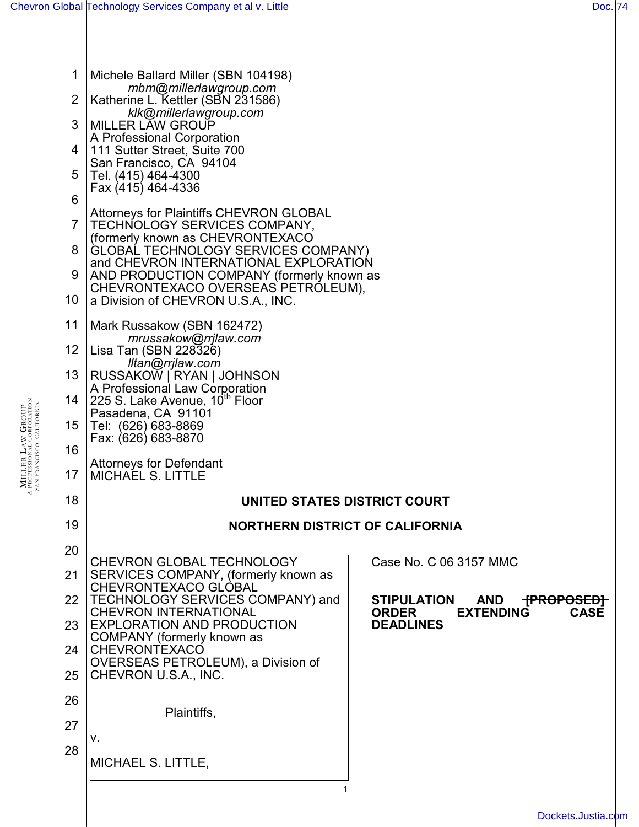| 1        | Michele Ballard Miller (SBN 104198)                                                                                                                                                                                   |                                                                                                       |
|----------|-----------------------------------------------------------------------------------------------------------------------------------------------------------------------------------------------------------------------|-------------------------------------------------------------------------------------------------------|
| 2        | mbm@millerlawgroup.com<br>Katherine L. Kettler (SBN 231586)                                                                                                                                                           |                                                                                                       |
| 3        | klk@millerlawgroup.com<br><b>MILLER LAW GROUP</b>                                                                                                                                                                     |                                                                                                       |
| 4        | A Professional Corporation<br>111 Sutter Street, Suite 700                                                                                                                                                            |                                                                                                       |
| 5        | San Francisco, CA 94104<br>Tel. (415) 464-4300                                                                                                                                                                        |                                                                                                       |
| 6        | Fax (415) 464-4336                                                                                                                                                                                                    |                                                                                                       |
| 7        | <b>Attorneys for Plaintiffs CHEVRON GLOBAL</b><br>TECHNOLOGY SERVICES COMPANY,                                                                                                                                        |                                                                                                       |
| 8        | (formerly known as CHEVRONTEXACO<br>GLOBAL TECHNOLOGY SERVICES COMPANY)                                                                                                                                               |                                                                                                       |
| 9        | and CHEVRON INTERNATIONAL EXPLORATION<br>AND PRODUCTION COMPANY (formerly known as                                                                                                                                    |                                                                                                       |
| 10       | CHEVRONTEXACO OVERSEAS PETRÓLEUM),<br>a Division of CHEVRON U.S.A., INC.                                                                                                                                              |                                                                                                       |
| 11       | Mark Russakow (SBN 162472)<br>mrussakow@rrjlaw.com<br>Lisa Tan (SBN 228326)<br>lltan@rrjlaw.com<br>RUSSAKOW   RYAN   JOHNSON<br>A Professional Law Corporation<br>225 S. Lake Avenue, 10" Floor<br>Pasadena, CA 91101 |                                                                                                       |
| 12       |                                                                                                                                                                                                                       |                                                                                                       |
| 13       |                                                                                                                                                                                                                       |                                                                                                       |
| 14       |                                                                                                                                                                                                                       |                                                                                                       |
| 15       | Tel: (626) 683-8869<br>Fax: (626) 683-8870                                                                                                                                                                            |                                                                                                       |
| 16       | <b>Attorneys for Defendant</b>                                                                                                                                                                                        |                                                                                                       |
| 17       | <b>MICHAEL S. LITTLE</b>                                                                                                                                                                                              |                                                                                                       |
| 18       | UNITED STATES DISTRICT COURT                                                                                                                                                                                          |                                                                                                       |
| 19       | <b>NORTHERN DISTRICT OF CALIFORNIA</b>                                                                                                                                                                                |                                                                                                       |
| 20       | <b>CHEVRON GLOBAL TECHNOLOGY</b>                                                                                                                                                                                      | Case No. C 06 3157 MMC                                                                                |
| 21       | SERVICES COMPANY, (formerly known as<br>CHEVRONTEXACO GLOBAL                                                                                                                                                          |                                                                                                       |
| 22       | TECHNOLOGY SERVICES COMPANY) and<br><b>CHEVRON INTERNATIONAL</b>                                                                                                                                                      | <b>STIPULATION</b><br>AND<br><del>[PROPOSED]</del><br><b>EXTENDING</b><br><b>CASE</b><br><b>ORDER</b> |
| 23       | <b>EXPLORATION AND PRODUCTION</b><br>COMPANY (formerly known as                                                                                                                                                       | <b>DEADLINES</b>                                                                                      |
| 24       | CHEVRONTEXACO<br>OVERSEAS PETROLEUM), a Division of                                                                                                                                                                   |                                                                                                       |
| 25       | CHEVRON U.S.A., INC.                                                                                                                                                                                                  |                                                                                                       |
| 26       | Plaintiffs,                                                                                                                                                                                                           |                                                                                                       |
| 27<br>28 | V.                                                                                                                                                                                                                    |                                                                                                       |
|          | MICHAEL S. LITTLE,                                                                                                                                                                                                    |                                                                                                       |
|          |                                                                                                                                                                                                                       |                                                                                                       |
|          |                                                                                                                                                                                                                       | Dockets.Justia.com                                                                                    |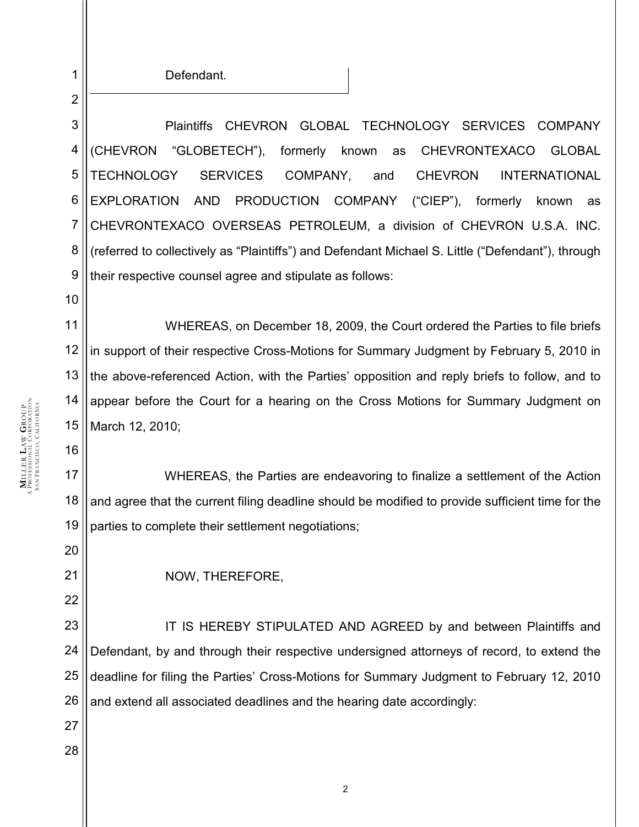Defendant.

1

2

10

16

20

21

22

27

28

3 4 5 6 7 8 9 Plaintiffs CHEVRON GLOBAL TECHNOLOGY SERVICES COMPANY (CHEVRON "GLOBETECH"), formerly known as CHEVRONTEXACO GLOBAL TECHNOLOGY SERVICES COMPANY, and CHEVRON INTERNATIONAL EXPLORATION AND PRODUCTION COMPANY ("CIEP"), formerly known as CHEVRONTEXACO OVERSEAS PETROLEUM, a division of CHEVRON U.S.A. INC. (referred to collectively as "Plaintiffs") and Defendant Michael S. Little ("Defendant"), through their respective counsel agree and stipulate as follows:

11 12 13 14 15 WHEREAS, on December 18, 2009, the Court ordered the Parties to file briefs in support of their respective Cross-Motions for Summary Judgment by February 5, 2010 in the above-referenced Action, with the Parties' opposition and reply briefs to follow, and to appear before the Court for a hearing on the Cross Motions for Summary Judgment on March 12, 2010;

17 18 19 WHEREAS, the Parties are endeavoring to finalize a settlement of the Action and agree that the current filing deadline should be modified to provide sufficient time for the parties to complete their settlement negotiations;

NOW, THEREFORE,

23 24 25 26 IT IS HEREBY STIPULATED AND AGREED by and between Plaintiffs and Defendant, by and through their respective undersigned attorneys of record, to extend the deadline for filing the Parties' Cross-Motions for Summary Judgment to February 12, 2010 and extend all associated deadlines and the hearing date accordingly: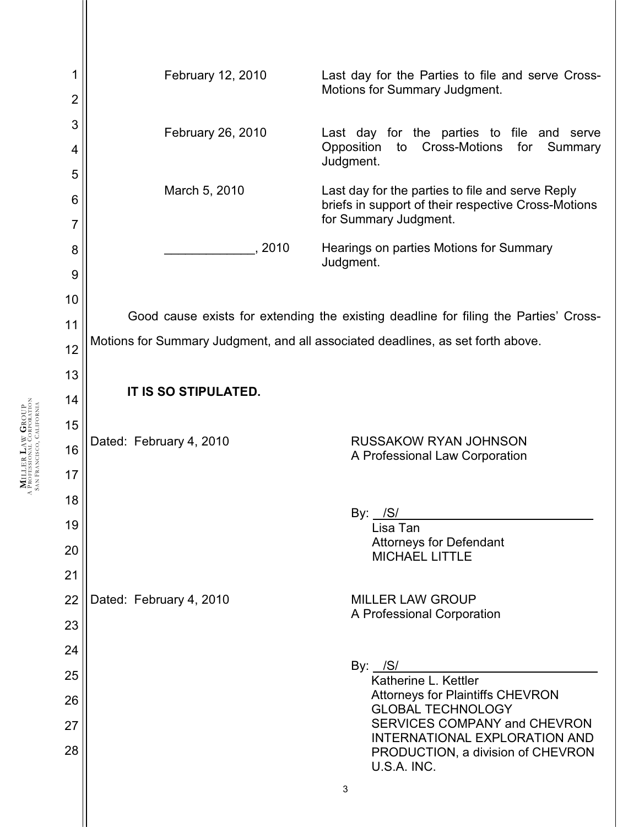3 1 2 3 4 5 6 7 8 9 10 11 12 13 14 15 16 17 18 19 20 21 22 23 24 25 26 27 28 February 12, 2010 Last day for the Parties to file and serve Cross-Motions for Summary Judgment. February 26, 2010 Last day for the parties to file and serve Opposition to Cross-Motions for Summary Judgment. March 5, 2010 Last day for the parties to file and serve Reply briefs in support of their respective Cross-Motions for Summary Judgment. 2010 Hearings on parties Motions for Summary Judgment. Good cause exists for extending the existing deadline for filing the Parties' Cross-Motions for Summary Judgment, and all associated deadlines, as set forth above. **IT IS SO STIPULATED.** Dated: February 4, 2010 RUSSAKOW RYAN JOHNSON A Professional Law Corporation By:  $/S/$ Lisa Tan Attorneys for Defendant MICHAEL LITTLE Dated: February 4, 2010 MILLER LAW GROUP A Professional Corporation By:  $/S/$ Katherine L. Kettler Attorneys for Plaintiffs CHEVRON GLOBAL TECHNOLOGY SERVICES COMPANY and CHEVRON INTERNATIONAL EXPLORATION AND PRODUCTION, a division of CHEVRON U.S.A. INC.